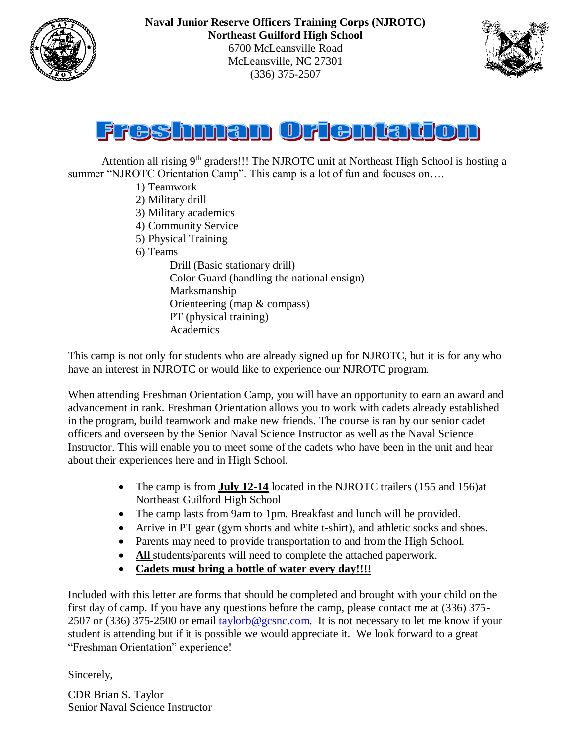





Attention all rising  $9<sup>th</sup>$  graders!!! The NJROTC unit at Northeast High School is hosting a summer "NJROTC Orientation Camp". This camp is a lot of fun and focuses on....

- 1) Teamwork
- 2) Military drill
- 3) Military academics
- 4) Community Service
- 5) Physical Training
- 6) Teams

Drill (Basic stationary drill) Color Guard (handling the national ensign) Marksmanship Orienteering (map & compass) PT (physical training) Academics

This camp is not only for students who are already signed up for NJROTC, but it is for any who have an interest in NJROTC or would like to experience our NJROTC program.

When attending Freshman Orientation Camp, you will have an opportunity to earn an award and advancement in rank. Freshman Orientation allows you to work with cadets already established in the program, build teamwork and make new friends. The course is ran by our senior cadet officers and overseen by the Senior Naval Science Instructor as well as the Naval Science Instructor. This will enable you to meet some of the cadets who have been in the unit and hear about their experiences here and in High School.

- The camp is from **July 12-14** located in the NJROTC trailers (155 and 156)at Northeast Guilford High School
- The camp lasts from 9am to 1pm. Breakfast and lunch will be provided.
- Arrive in PT gear (gym shorts and white t-shirt), and athletic socks and shoes.
- Parents may need to provide transportation to and from the High School.
- All students/parents will need to complete the attached paperwork.
- **Cadets must bring a bottle of water every day!!!!**

Included with this letter are forms that should be completed and brought with your child on the first day of camp. If you have any questions before the camp, please contact me at (336) 375- 2507 or (336) 375-2500 or email  $\frac{taylorb@gcsnc.com}{t}$ . It is not necessary to let me know if your student is attending but if it is possible we would appreciate it. We look forward to a great "Freshman Orientation" experience!

Sincerely,

CDR Brian S. Taylor Senior Naval Science Instructor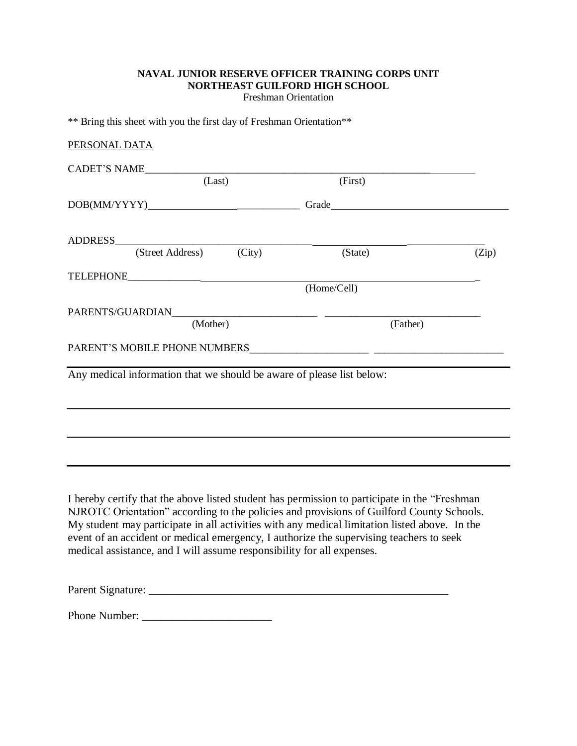# **NAVAL JUNIOR RESERVE OFFICER TRAINING CORPS UNIT NORTHEAST GUILFORD HIGH SCHOOL**

Freshman Orientation

\*\* Bring this sheet with you the first day of Freshman Orientation\*\*

| PERSONAL DATA                                                                               |             |       |
|---------------------------------------------------------------------------------------------|-------------|-------|
| CADET'S NAME                                                                                |             |       |
| (Last)                                                                                      | (First)     |       |
| $\label{eq:3} \text{DOB}(\text{MM/YYYY}) \underline{\hspace{2cm}} \underline{\hspace{2cm}}$ |             |       |
|                                                                                             |             |       |
| (Street Address) (City)                                                                     | (State)     | (Zip) |
|                                                                                             |             |       |
|                                                                                             | (Home/Cell) |       |
|                                                                                             |             |       |
| (Mother)                                                                                    | (Father)    |       |
|                                                                                             |             |       |
|                                                                                             |             |       |
| Any medical information that we should be aware of please list below:                       |             |       |
|                                                                                             |             |       |
|                                                                                             |             |       |
|                                                                                             |             |       |
|                                                                                             |             |       |
|                                                                                             |             |       |
|                                                                                             |             |       |
|                                                                                             |             |       |

I hereby certify that the above listed student has permission to participate in the "Freshman NJROTC Orientation" according to the policies and provisions of Guilford County Schools. My student may participate in all activities with any medical limitation listed above. In the event of an accident or medical emergency, I authorize the supervising teachers to seek medical assistance, and I will assume responsibility for all expenses.

Parent Signature: \_\_\_\_\_\_\_\_\_\_\_\_\_\_\_\_\_\_\_\_\_\_\_\_\_\_\_\_\_\_\_\_\_\_\_\_\_\_\_\_\_\_\_\_\_\_\_\_\_\_\_\_\_

Phone Number: \_\_\_\_\_\_\_\_\_\_\_\_\_\_\_\_\_\_\_\_\_\_\_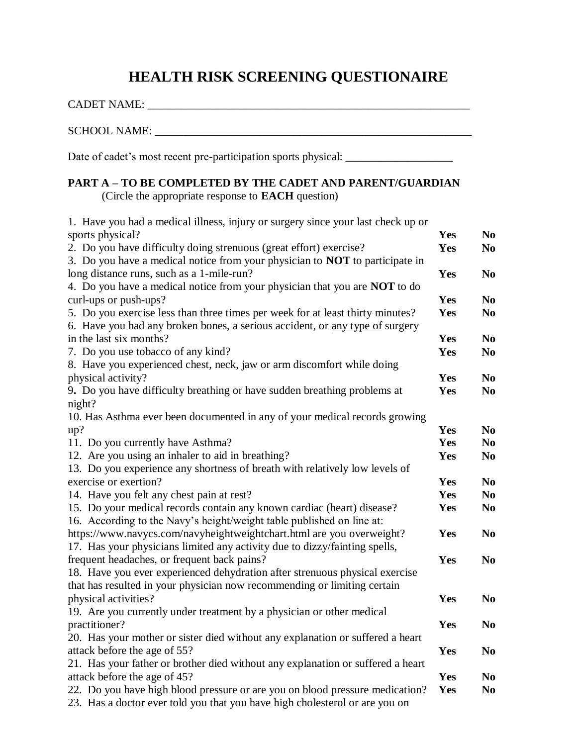# **HEALTH RISK SCREENING QUESTIONAIRE**

| CADET NAME:                                                                                                                                                    |            |                                  |
|----------------------------------------------------------------------------------------------------------------------------------------------------------------|------------|----------------------------------|
| SCHOOL NAME: _________________                                                                                                                                 |            |                                  |
| Date of cadet's most recent pre-participation sports physical: __________________                                                                              |            |                                  |
| <b>PART A - TO BE COMPLETED BY THE CADET AND PARENT/GUARDIAN</b><br>(Circle the appropriate response to <b>EACH</b> question)                                  |            |                                  |
| 1. Have you had a medical illness, injury or surgery since your last check up or                                                                               |            |                                  |
| sports physical?                                                                                                                                               | <b>Yes</b> | N <sub>0</sub>                   |
| 2. Do you have difficulty doing strenuous (great effort) exercise?                                                                                             | Yes        | N <sub>o</sub>                   |
| 3. Do you have a medical notice from your physician to <b>NOT</b> to participate in                                                                            |            |                                  |
| long distance runs, such as a 1-mile-run?                                                                                                                      | Yes        | N <sub>0</sub>                   |
| 4. Do you have a medical notice from your physician that you are <b>NOT</b> to do                                                                              |            |                                  |
| curl-ups or push-ups?                                                                                                                                          | Yes        | N <sub>0</sub>                   |
| 5. Do you exercise less than three times per week for at least thirty minutes?<br>6. Have you had any broken bones, a serious accident, or any type of surgery | Yes        | N <sub>0</sub>                   |
| in the last six months?                                                                                                                                        | <b>Yes</b> | N <sub>0</sub>                   |
| 7. Do you use tobacco of any kind?                                                                                                                             | Yes        | N <sub>0</sub>                   |
| 8. Have you experienced chest, neck, jaw or arm discomfort while doing                                                                                         |            |                                  |
| physical activity?                                                                                                                                             | Yes        | N <sub>0</sub>                   |
| 9. Do you have difficulty breathing or have sudden breathing problems at                                                                                       | Yes        | N <sub>0</sub>                   |
| night?                                                                                                                                                         |            |                                  |
| 10. Has Asthma ever been documented in any of your medical records growing                                                                                     |            |                                  |
| up?                                                                                                                                                            | Yes<br>Yes | N <sub>0</sub>                   |
| 11. Do you currently have Asthma?<br>12. Are you using an inhaler to aid in breathing?                                                                         | <b>Yes</b> | N <sub>0</sub><br>N <sub>0</sub> |
| 13. Do you experience any shortness of breath with relatively low levels of                                                                                    |            |                                  |
| exercise or exertion?                                                                                                                                          | Yes        | N <sub>0</sub>                   |
| 14. Have you felt any chest pain at rest?                                                                                                                      | Yes        | N <sub>0</sub>                   |
| 15. Do your medical records contain any known cardiac (heart) disease?                                                                                         | Yes        | N <sub>0</sub>                   |
| 16. According to the Navy's height/weight table published on line at:                                                                                          |            |                                  |
| https://www.navycs.com/navyheightweightchart.html are you overweight?                                                                                          | Yes        | N <sub>0</sub>                   |
| 17. Has your physicians limited any activity due to dizzy/fainting spells,                                                                                     |            |                                  |
| frequent headaches, or frequent back pains?                                                                                                                    | Yes        | N <sub>0</sub>                   |
| 18. Have you ever experienced dehydration after strenuous physical exercise                                                                                    |            |                                  |
| that has resulted in your physician now recommending or limiting certain                                                                                       |            |                                  |
| physical activities?                                                                                                                                           | Yes        | N <sub>0</sub>                   |
| 19. Are you currently under treatment by a physician or other medical                                                                                          |            |                                  |
| practitioner?                                                                                                                                                  | Yes        | N <sub>0</sub>                   |
| 20. Has your mother or sister died without any explanation or suffered a heart                                                                                 |            |                                  |
| attack before the age of 55?                                                                                                                                   | Yes        | N <sub>0</sub>                   |
| 21. Has your father or brother died without any explanation or suffered a heart                                                                                |            |                                  |
| attack before the age of 45?                                                                                                                                   | Yes        | N <sub>0</sub>                   |
| 22. Do you have high blood pressure or are you on blood pressure medication?                                                                                   | Yes        | N <sub>0</sub>                   |
| 23. Has a doctor ever told you that you have high cholesterol or are you on                                                                                    |            |                                  |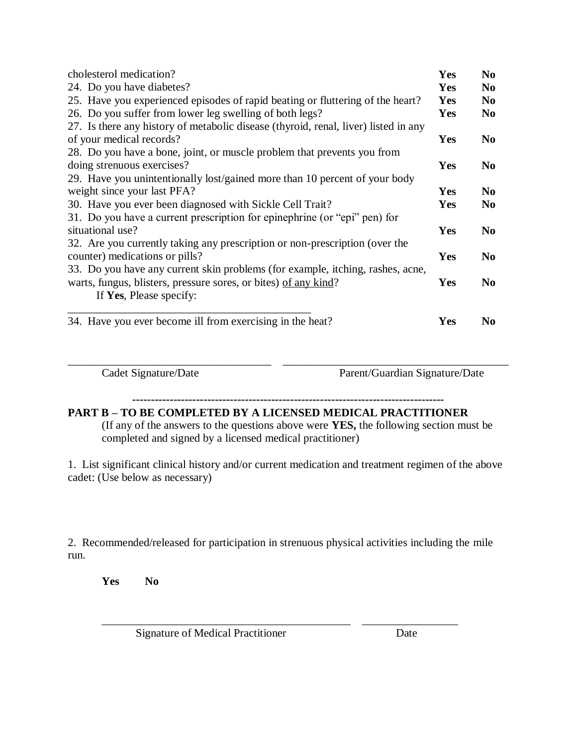| cholesterol medication?                                                             | Yes        | N <sub>0</sub> |  |
|-------------------------------------------------------------------------------------|------------|----------------|--|
| 24. Do you have diabetes?                                                           | <b>Yes</b> | N <sub>0</sub> |  |
| 25. Have you experienced episodes of rapid beating or fluttering of the heart?      | <b>Yes</b> | N <sub>0</sub> |  |
| 26. Do you suffer from lower leg swelling of both legs?                             | Yes        | N <sub>0</sub> |  |
| 27. Is there any history of metabolic disease (thyroid, renal, liver) listed in any |            |                |  |
| of your medical records?                                                            | <b>Yes</b> | N <sub>0</sub> |  |
| 28. Do you have a bone, joint, or muscle problem that prevents you from             |            |                |  |
| doing strenuous exercises?                                                          | Yes        | N <sub>0</sub> |  |
| 29. Have you unintentionally lost/gained more than 10 percent of your body          |            |                |  |
| weight since your last PFA?                                                         |            |                |  |
| 30. Have you ever been diagnosed with Sickle Cell Trait?                            | <b>Yes</b> | N <sub>0</sub> |  |
| 31. Do you have a current prescription for epinephrine (or "epi" pen) for           |            |                |  |
| situational use?                                                                    |            | N <sub>0</sub> |  |
| 32. Are you currently taking any prescription or non-prescription (over the         |            |                |  |
| counter) medications or pills?                                                      |            | N <sub>0</sub> |  |
| 33. Do you have any current skin problems (for example, itching, rashes, acne,      |            |                |  |
| warts, fungus, blisters, pressure sores, or bites) of any kind?                     | <b>Yes</b> | N <sub>0</sub> |  |
| If Yes, Please specify:                                                             |            |                |  |
| 34. Have you ever become ill from exercising in the heat?                           | Yes        | N <sub>0</sub> |  |

Cadet Signature/Date Parent/Guardian Signature/Date

**-----------------------------------------------------------------------------------**

\_\_\_\_\_\_\_\_\_\_\_\_\_\_\_\_\_\_\_\_\_\_\_\_\_\_\_\_\_\_\_\_\_\_\_\_ \_\_\_\_\_\_\_\_\_\_\_\_\_\_\_\_\_\_\_\_\_\_\_\_\_\_\_\_\_\_\_\_\_\_\_\_\_\_\_\_

## **PART B – TO BE COMPLETED BY A LICENSED MEDICAL PRACTITIONER**

(If any of the answers to the questions above were **YES,** the following section must be completed and signed by a licensed medical practitioner)

1. List significant clinical history and/or current medication and treatment regimen of the above cadet: (Use below as necessary)

2. Recommended/released for participation in strenuous physical activities including the mile run.

\_\_\_\_\_\_\_\_\_\_\_\_\_\_\_\_\_\_\_\_\_\_\_\_\_\_\_\_\_\_\_\_\_\_\_\_\_\_\_\_\_\_\_\_ \_\_\_\_\_\_\_\_\_\_\_\_\_\_\_\_\_

**Yes No**

Signature of Medical Practitioner Date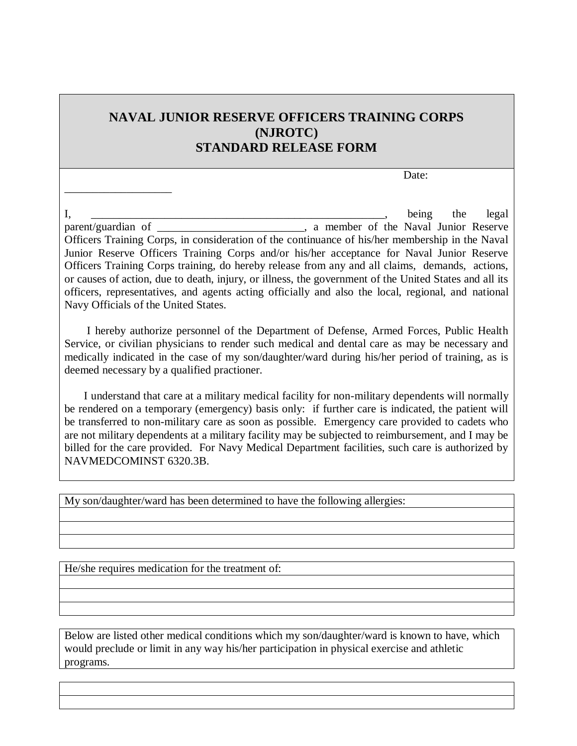## **NAVAL JUNIOR RESERVE OFFICERS TRAINING CORPS (NJROTC) STANDARD RELEASE FORM**

Date:

 $I, \_\_\_\_\_\_\_\$  the legal parent/guardian of \_\_\_\_\_\_\_\_\_\_\_\_\_\_\_\_\_\_\_\_\_\_\_, a member of the Naval Junior Reserve Officers Training Corps, in consideration of the continuance of his/her membership in the Naval Junior Reserve Officers Training Corps and/or his/her acceptance for Naval Junior Reserve Officers Training Corps training, do hereby release from any and all claims, demands, actions, or causes of action, due to death, injury, or illness, the government of the United States and all its officers, representatives, and agents acting officially and also the local, regional, and national Navy Officials of the United States.

 I hereby authorize personnel of the Department of Defense, Armed Forces, Public Health Service, or civilian physicians to render such medical and dental care as may be necessary and medically indicated in the case of my son/daughter/ward during his/her period of training, as is deemed necessary by a qualified practioner.

 I understand that care at a military medical facility for non-military dependents will normally be rendered on a temporary (emergency) basis only: if further care is indicated, the patient will be transferred to non-military care as soon as possible. Emergency care provided to cadets who are not military dependents at a military facility may be subjected to reimbursement, and I may be billed for the care provided. For Navy Medical Department facilities, such care is authorized by NAVMEDCOMINST 6320.3B.

My son/daughter/ward has been determined to have the following allergies:

He/she requires medication for the treatment of:

\_\_\_\_\_\_\_\_\_\_\_\_\_\_\_\_\_\_\_

Below are listed other medical conditions which my son/daughter/ward is known to have, which would preclude or limit in any way his/her participation in physical exercise and athletic programs.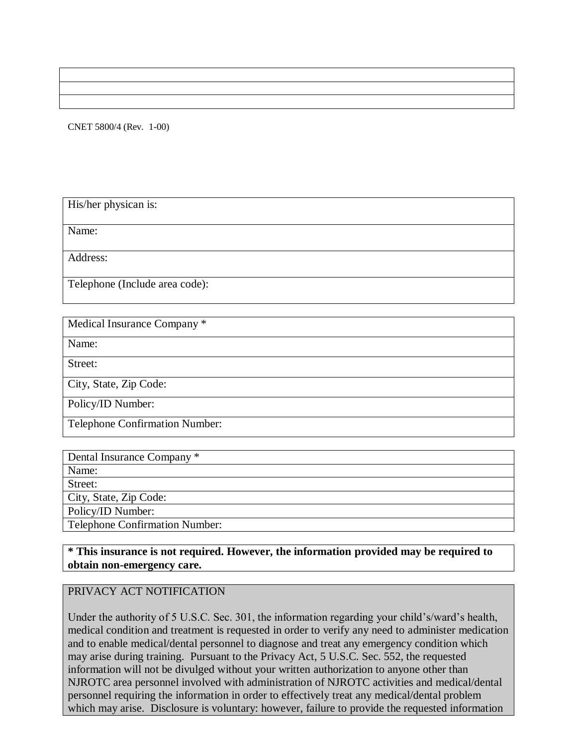CNET 5800/4 (Rev. 1-00)

His/her physican is:

Name:

Address:

Telephone (Include area code):

| Medical Insurance Company *    |
|--------------------------------|
| Name:                          |
| Street:                        |
| City, State, Zip Code:         |
| Policy/ID Number:              |
| Telephone Confirmation Number: |

| Dental Insurance Company *            |
|---------------------------------------|
| Name:                                 |
| Street:                               |
| City, State, Zip Code:                |
| Policy/ID Number:                     |
| <b>Telephone Confirmation Number:</b> |

### **\* This insurance is not required. However, the information provided may be required to obtain non-emergency care.**

### PRIVACY ACT NOTIFICATION

Under the authority of 5 U.S.C. Sec. 301, the information regarding your child's/ward's health, medical condition and treatment is requested in order to verify any need to administer medication and to enable medical/dental personnel to diagnose and treat any emergency condition which may arise during training. Pursuant to the Privacy Act, 5 U.S.C. Sec. 552, the requested information will not be divulged without your written authorization to anyone other than NJROTC area personnel involved with administration of NJROTC activities and medical/dental personnel requiring the information in order to effectively treat any medical/dental problem which may arise. Disclosure is voluntary: however, failure to provide the requested information